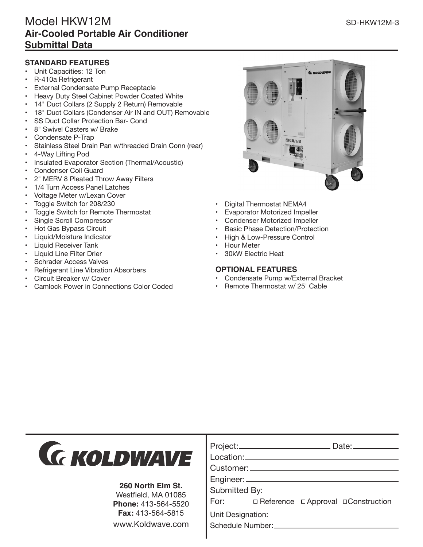- Unit Capacities: 12 Ton
- R-410a Refrigerant
- **External Condensate Pump Receptacle**
- Heavy Duty Steel Cabinet Powder Coated White
- 14" Duct Collars (2 Supply 2 Return) Removable
- 18" Duct Collars (Condenser Air IN and OUT) Removable
- SS Duct Collar Protection Bar- Cond
- 8" Swivel Casters w/ Brake
- Condensate P-Trap
- Stainless Steel Drain Pan w/threaded Drain Conn (rear)
- 4-Way Lifting Pod
- Insulated Evaporator Section (Thermal/Acoustic)
- Condenser Coil Guard
- 2" MERV 8 Pleated Throw Away Filters
- 1/4 Turn Access Panel Latches
- Voltage Meter w/Lexan Cover
- Toggle Switch for 208/230
- Toggle Switch for Remote Thermostat
- Single Scroll Compressor
- Hot Gas Bypass Circuit
- Liquid/Moisture Indicator
- Liquid Receiver Tank
- Liquid Line Filter Drier
- Schrader Access Valves
- Refrigerant Line Vibration Absorbers
- Circuit Breaker w/ Cover
- Camlock Power in Connections Color Coded



- Digital Thermostat NEMA4
- Evaporator Motorized Impeller
- Condenser Motorized Impeller
- Basic Phase Detection/Protection
- High & Low-Pressure Control
- Hour Meter
- 30kW Electric Heat

## **OPTIONAL FEATURES**

- Condensate Pump w/External Bracket
- Remote Thermostat w/ 25' Cable



## **260 North Elm St.**

Westfield, MA 01085 **Phone:** 413-564-5520 **Fax:** 413-564-5815 www.Koldwave.com

|               | Project:________________________                   |  | $Date:$ $\qquad \qquad$                       |  |  |
|---------------|----------------------------------------------------|--|-----------------------------------------------|--|--|
|               |                                                    |  |                                               |  |  |
|               | Customer: <u>_________________________________</u> |  |                                               |  |  |
|               |                                                    |  |                                               |  |  |
| Submitted By: |                                                    |  |                                               |  |  |
|               |                                                    |  | For: <b>Deference DApproval DConstruction</b> |  |  |
|               |                                                    |  |                                               |  |  |
|               |                                                    |  |                                               |  |  |
|               |                                                    |  |                                               |  |  |